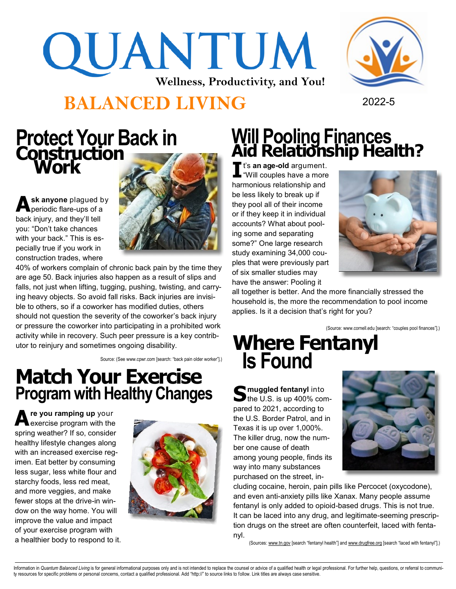## QUANTUM **Wellness, Productivity, and You!**

#### **BALANCED LIVING** <sup>2022</sup>-<sup>5</sup>



### **Construction Work**

**A sk anyone** plagued by periodic flare-ups of a back injury, and they'll tell you: "Don't take chances with your back." This is especially true if you work in construction trades, where



40% of workers complain of chronic back pain by the time they are age 50. Back injuries also happen as a result of slips and falls, not just when lifting, tugging, pushing, twisting, and carrying heavy objects. So avoid fall risks. Back injuries are invisible to others, so if a coworker has modified duties, others should not question the severity of the coworker's back injury or pressure the coworker into participating in a prohibited work activity while in recovery. Such peer pressure is a key contributor to reinjury and sometimes ongoing disability.

Source: (See www.cpwr.com [search: "back pain older worker"].)

#### **Match Your Exercise Program with Healthy Changes**

**A re you ramping up** your exercise program with the spring weather? If so, consider healthy lifestyle changes along with an increased exercise regimen. Eat better by consuming less sugar, less white flour and starchy foods, less red meat, and more veggies, and make fewer stops at the drive-in window on the way home. You will improve the value and impact of your exercise program with a healthier body to respond to it.



## **Protect Your Back in Will Pooling Finances**<br> **Construction**

**I** t's **an age-old** argument. "Will couples have a more harmonious relationship and be less likely to break up if they pool all of their income or if they keep it in individual accounts? What about pooling some and separating some?" One large research study examining 34,000 couples that were previously part of six smaller studies may have the answer: Pooling it



all together is better. And the more financially stressed the household is, the more the recommendation to pool income applies. Is it a decision that's right for you?

(Source: www.cornell.edu [search: "couples pool finances"].)

#### **Where Fentanyl Is Found**

Surfault and **S** muggled fentanyl into the U.S. is up 400% con  $\blacktriangleright$  the U.S. is up 400% compared to 2021, according to the U.S. Border Patrol, and in Texas it is up over 1,000%. The killer drug, now the number one cause of death among young people, finds its way into many substances purchased on the street, in-



cluding cocaine, heroin, pain pills like Percocet (oxycodone), and even anti-anxiety pills like Xanax. Many people assume fentanyl is only added to opioid-based drugs. This is not true. It can be laced into any drug, and legitimate-seeming prescription drugs on the street are often counterfeit, laced with fentanyl.

(Sources: www.tn.gov [search "fentanyl health"] and www.drugfree.org [search "laced with fentanyl"].)

Information in Quantum Balanced Living is for general informational purposes only and is not intended to replace the counsel or advice of a qualified health or legal professional. For further help, questions, or referral t ty resources for specific problems or personal concerns, contact a qualified professional. Add "http://" to source links to follow. Link titles are always case sensitive.